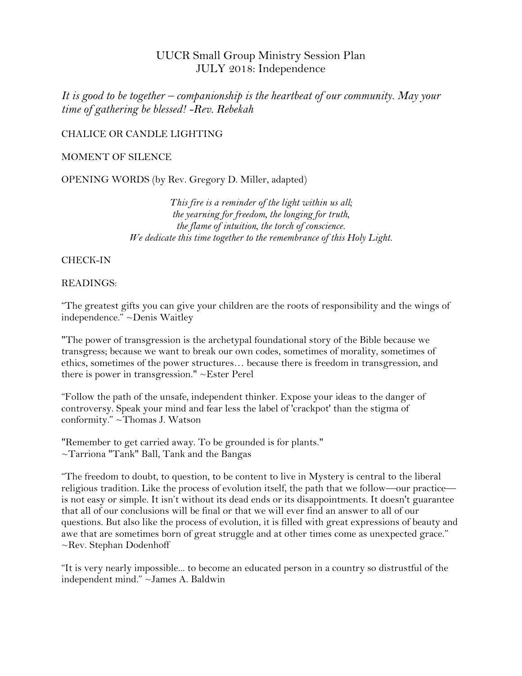# UUCR Small Group Ministry Session Plan JULY 2018: Independence

*It is good to be together – companionship is the heartbeat of our community. May your time of gathering be blessed! -Rev. Rebekah*

## CHALICE OR CANDLE LIGHTING

## MOMENT OF SILENCE

OPENING WORDS (by Rev. Gregory D. Miller, adapted)

*This fire is a reminder of the light within us all; the yearning for freedom, the longing for truth, the flame of intuition, the torch of conscience. We dedicate this time together to the remembrance of this Holy Light.*

### CHECK-IN

#### READINGS:

"The greatest gifts you can give your children are the roots of responsibility and the wings of independence." ~Denis Waitley

"The power of transgression is the archetypal foundational story of the Bible because we transgress; because we want to break our own codes, sometimes of morality, sometimes of ethics, sometimes of the power structures… because there is freedom in transgression, and there is power in transgression." ~Ester Perel

"Follow the path of the unsafe, independent thinker. Expose your ideas to the danger of controversy. Speak your mind and fear less the label of 'crackpot' than the stigma of conformity." ~Thomas J. Watson

"Remember to get carried away. To be grounded is for plants." ~Tarriona "Tank" Ball, Tank and the Bangas

"The freedom to doubt, to question, to be content to live in Mystery is central to the liberal religious tradition. Like the process of evolution itself, the path that we follow—our practice is not easy or simple. It isn't without its dead ends or its disappointments. It doesn't guarantee that all of our conclusions will be final or that we will ever find an answer to all of our questions. But also like the process of evolution, it is filled with great expressions of beauty and awe that are sometimes born of great struggle and at other times come as unexpected grace." ~Rev. Stephan Dodenhoff

"It is very nearly impossible... to become an educated person in a country so distrustful of the independent mind." ~James A. Baldwin